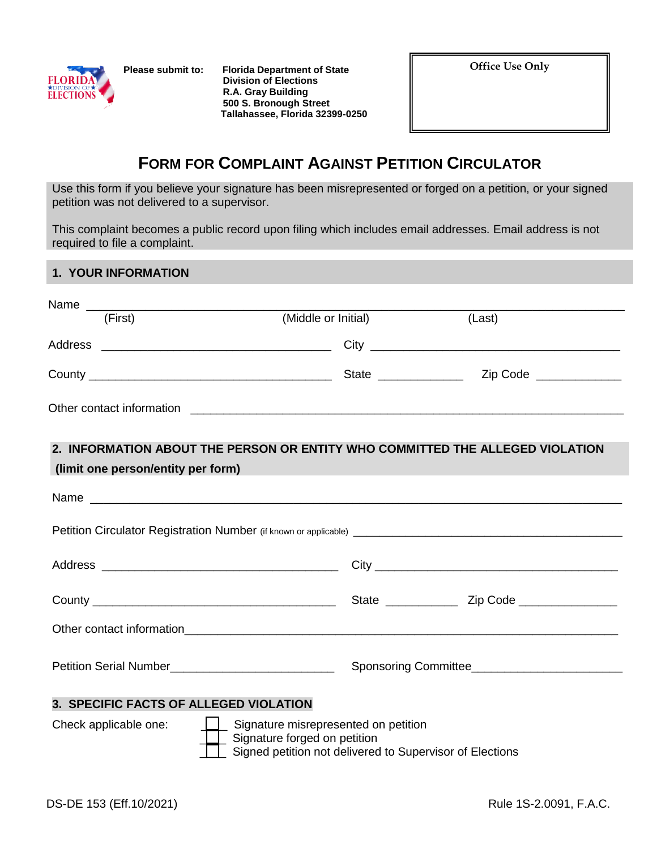**Please submit to: Florida Department of State FLORIDA**<br> **Division of Elections**<br> **ELECTIONS R.A. Gray Building 500 S. Bronough Street Tallahassee, Florida 32399-0250** **Office Use Only**

## **FORM FOR COMPLAINT AGAINST PETITION CIRCULATOR**

Use this form if you believe your signature has been misrepresented or forged on a petition, or your signed petition was not delivered to a supervisor.

This complaint becomes a public record upon filing which includes email addresses. Email address is not required to file a complaint.

## **1. YOUR INFORMATION**

| (First)                                                                                                                                                             | (Middle or Initial) |  | (Last)                                                                        |
|---------------------------------------------------------------------------------------------------------------------------------------------------------------------|---------------------|--|-------------------------------------------------------------------------------|
|                                                                                                                                                                     |                     |  |                                                                               |
|                                                                                                                                                                     |                     |  |                                                                               |
|                                                                                                                                                                     |                     |  |                                                                               |
| (limit one person/entity per form)                                                                                                                                  |                     |  | 2. INFORMATION ABOUT THE PERSON OR ENTITY WHO COMMITTED THE ALLEGED VIOLATION |
|                                                                                                                                                                     |                     |  |                                                                               |
|                                                                                                                                                                     |                     |  |                                                                               |
|                                                                                                                                                                     |                     |  |                                                                               |
|                                                                                                                                                                     |                     |  |                                                                               |
|                                                                                                                                                                     |                     |  | Other contact information.                                                    |
|                                                                                                                                                                     |                     |  |                                                                               |
| 3. SPECIFIC FACTS OF ALLEGED VIOLATION                                                                                                                              |                     |  |                                                                               |
| Check applicable one:<br>Signature misrepresented on petition<br>$\lfloor$ Signature forged on petition<br>Signed petition not delivered to Supervisor of Elections |                     |  |                                                                               |